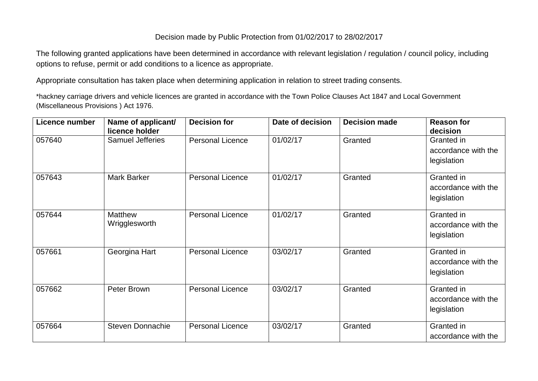## Decision made by Public Protection from 01/02/2017 to 28/02/2017

The following granted applications have been determined in accordance with relevant legislation / regulation / council policy, including options to refuse, permit or add conditions to a licence as appropriate.

Appropriate consultation has taken place when determining application in relation to street trading consents.

\*hackney carriage drivers and vehicle licences are granted in accordance with the Town Police Clauses Act 1847 and Local Government (Miscellaneous Provisions ) Act 1976.

| Licence number | Name of applicant/<br>licence holder | <b>Decision for</b>     | Date of decision | <b>Decision made</b> | <b>Reason for</b><br>decision                    |
|----------------|--------------------------------------|-------------------------|------------------|----------------------|--------------------------------------------------|
| 057640         | <b>Samuel Jefferies</b>              | <b>Personal Licence</b> | 01/02/17         | Granted              | Granted in<br>accordance with the<br>legislation |
| 057643         | <b>Mark Barker</b>                   | <b>Personal Licence</b> | 01/02/17         | Granted              | Granted in<br>accordance with the<br>legislation |
| 057644         | <b>Matthew</b><br>Wrigglesworth      | <b>Personal Licence</b> | 01/02/17         | Granted              | Granted in<br>accordance with the<br>legislation |
| 057661         | Georgina Hart                        | <b>Personal Licence</b> | 03/02/17         | Granted              | Granted in<br>accordance with the<br>legislation |
| 057662         | Peter Brown                          | <b>Personal Licence</b> | 03/02/17         | Granted              | Granted in<br>accordance with the<br>legislation |
| 057664         | <b>Steven Donnachie</b>              | <b>Personal Licence</b> | 03/02/17         | Granted              | Granted in<br>accordance with the                |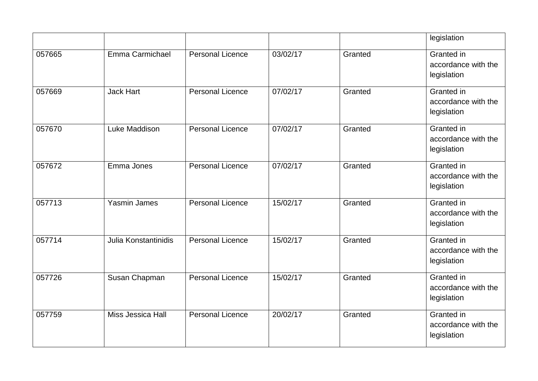|        |                      |                         |          |         | legislation                                             |
|--------|----------------------|-------------------------|----------|---------|---------------------------------------------------------|
| 057665 | Emma Carmichael      | <b>Personal Licence</b> | 03/02/17 | Granted | Granted in<br>accordance with the<br>legislation        |
| 057669 | <b>Jack Hart</b>     | <b>Personal Licence</b> | 07/02/17 | Granted | Granted in<br>accordance with the<br>legislation        |
| 057670 | Luke Maddison        | <b>Personal Licence</b> | 07/02/17 | Granted | Granted in<br>accordance with the<br>legislation        |
| 057672 | Emma Jones           | <b>Personal Licence</b> | 07/02/17 | Granted | Granted in<br>accordance with the<br>legislation        |
| 057713 | <b>Yasmin James</b>  | <b>Personal Licence</b> | 15/02/17 | Granted | <b>Granted</b> in<br>accordance with the<br>legislation |
| 057714 | Julia Konstantinidis | <b>Personal Licence</b> | 15/02/17 | Granted | Granted in<br>accordance with the<br>legislation        |
| 057726 | Susan Chapman        | <b>Personal Licence</b> | 15/02/17 | Granted | Granted in<br>accordance with the<br>legislation        |
| 057759 | Miss Jessica Hall    | <b>Personal Licence</b> | 20/02/17 | Granted | Granted in<br>accordance with the<br>legislation        |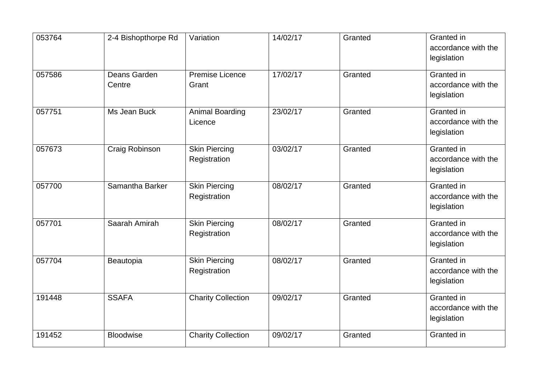| 053764 | 2-4 Bishopthorpe Rd    | Variation                            | 14/02/17 | Granted | Granted in<br>accordance with the<br>legislation |
|--------|------------------------|--------------------------------------|----------|---------|--------------------------------------------------|
| 057586 | Deans Garden<br>Centre | <b>Premise Licence</b><br>Grant      | 17/02/17 | Granted | Granted in<br>accordance with the<br>legislation |
| 057751 | Ms Jean Buck           | <b>Animal Boarding</b><br>Licence    | 23/02/17 | Granted | Granted in<br>accordance with the<br>legislation |
| 057673 | Craig Robinson         | <b>Skin Piercing</b><br>Registration | 03/02/17 | Granted | Granted in<br>accordance with the<br>legislation |
| 057700 | Samantha Barker        | <b>Skin Piercing</b><br>Registration | 08/02/17 | Granted | Granted in<br>accordance with the<br>legislation |
| 057701 | Saarah Amirah          | <b>Skin Piercing</b><br>Registration | 08/02/17 | Granted | Granted in<br>accordance with the<br>legislation |
| 057704 | Beautopia              | <b>Skin Piercing</b><br>Registration | 08/02/17 | Granted | Granted in<br>accordance with the<br>legislation |
| 191448 | <b>SSAFA</b>           | <b>Charity Collection</b>            | 09/02/17 | Granted | Granted in<br>accordance with the<br>legislation |
| 191452 | <b>Bloodwise</b>       | <b>Charity Collection</b>            | 09/02/17 | Granted | Granted in                                       |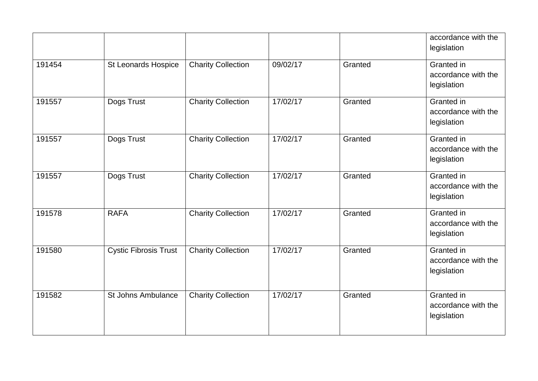|        |                              |                           |          |         | accordance with the<br>legislation               |
|--------|------------------------------|---------------------------|----------|---------|--------------------------------------------------|
| 191454 | St Leonards Hospice          | <b>Charity Collection</b> | 09/02/17 | Granted | Granted in<br>accordance with the<br>legislation |
| 191557 | Dogs Trust                   | <b>Charity Collection</b> | 17/02/17 | Granted | Granted in<br>accordance with the<br>legislation |
| 191557 | Dogs Trust                   | <b>Charity Collection</b> | 17/02/17 | Granted | Granted in<br>accordance with the<br>legislation |
| 191557 | Dogs Trust                   | <b>Charity Collection</b> | 17/02/17 | Granted | Granted in<br>accordance with the<br>legislation |
| 191578 | <b>RAFA</b>                  | <b>Charity Collection</b> | 17/02/17 | Granted | Granted in<br>accordance with the<br>legislation |
| 191580 | <b>Cystic Fibrosis Trust</b> | <b>Charity Collection</b> | 17/02/17 | Granted | Granted in<br>accordance with the<br>legislation |
| 191582 | <b>St Johns Ambulance</b>    | <b>Charity Collection</b> | 17/02/17 | Granted | Granted in<br>accordance with the<br>legislation |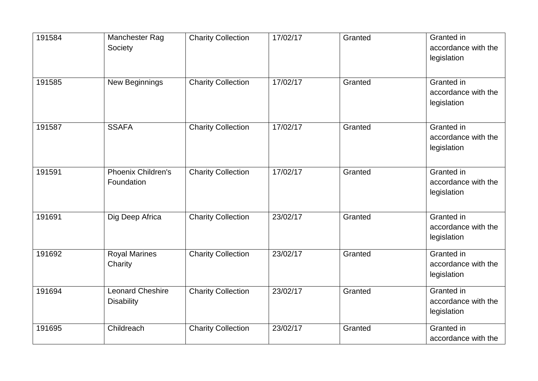| 191584 | Manchester Rag<br>Society                    | <b>Charity Collection</b> | 17/02/17 | Granted | Granted in<br>accordance with the<br>legislation |
|--------|----------------------------------------------|---------------------------|----------|---------|--------------------------------------------------|
| 191585 | New Beginnings                               | <b>Charity Collection</b> | 17/02/17 | Granted | Granted in<br>accordance with the<br>legislation |
| 191587 | <b>SSAFA</b>                                 | <b>Charity Collection</b> | 17/02/17 | Granted | Granted in<br>accordance with the<br>legislation |
| 191591 | <b>Phoenix Children's</b><br>Foundation      | <b>Charity Collection</b> | 17/02/17 | Granted | Granted in<br>accordance with the<br>legislation |
| 191691 | Dig Deep Africa                              | <b>Charity Collection</b> | 23/02/17 | Granted | Granted in<br>accordance with the<br>legislation |
| 191692 | <b>Royal Marines</b><br>Charity              | <b>Charity Collection</b> | 23/02/17 | Granted | Granted in<br>accordance with the<br>legislation |
| 191694 | <b>Leonard Cheshire</b><br><b>Disability</b> | <b>Charity Collection</b> | 23/02/17 | Granted | Granted in<br>accordance with the<br>legislation |
| 191695 | Childreach                                   | <b>Charity Collection</b> | 23/02/17 | Granted | Granted in<br>accordance with the                |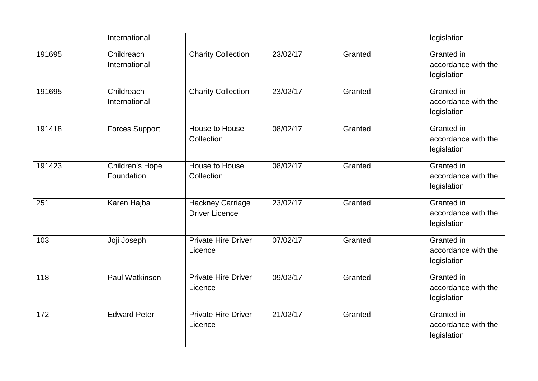|        | International                 |                                                  |          |         | legislation                                             |
|--------|-------------------------------|--------------------------------------------------|----------|---------|---------------------------------------------------------|
| 191695 | Childreach<br>International   | <b>Charity Collection</b>                        | 23/02/17 | Granted | Granted in<br>accordance with the<br>legislation        |
| 191695 | Childreach<br>International   | <b>Charity Collection</b>                        | 23/02/17 | Granted | Granted in<br>accordance with the<br>legislation        |
| 191418 | <b>Forces Support</b>         | House to House<br>Collection                     | 08/02/17 | Granted | Granted in<br>accordance with the<br>legislation        |
| 191423 | Children's Hope<br>Foundation | House to House<br>Collection                     | 08/02/17 | Granted | Granted in<br>accordance with the<br>legislation        |
| 251    | Karen Hajba                   | <b>Hackney Carriage</b><br><b>Driver Licence</b> | 23/02/17 | Granted | Granted in<br>accordance with the<br>legislation        |
| 103    | Joji Joseph                   | <b>Private Hire Driver</b><br>Licence            | 07/02/17 | Granted | <b>Granted</b> in<br>accordance with the<br>legislation |
| 118    | Paul Watkinson                | <b>Private Hire Driver</b><br>Licence            | 09/02/17 | Granted | Granted in<br>accordance with the<br>legislation        |
| 172    | <b>Edward Peter</b>           | <b>Private Hire Driver</b><br>Licence            | 21/02/17 | Granted | Granted in<br>accordance with the<br>legislation        |